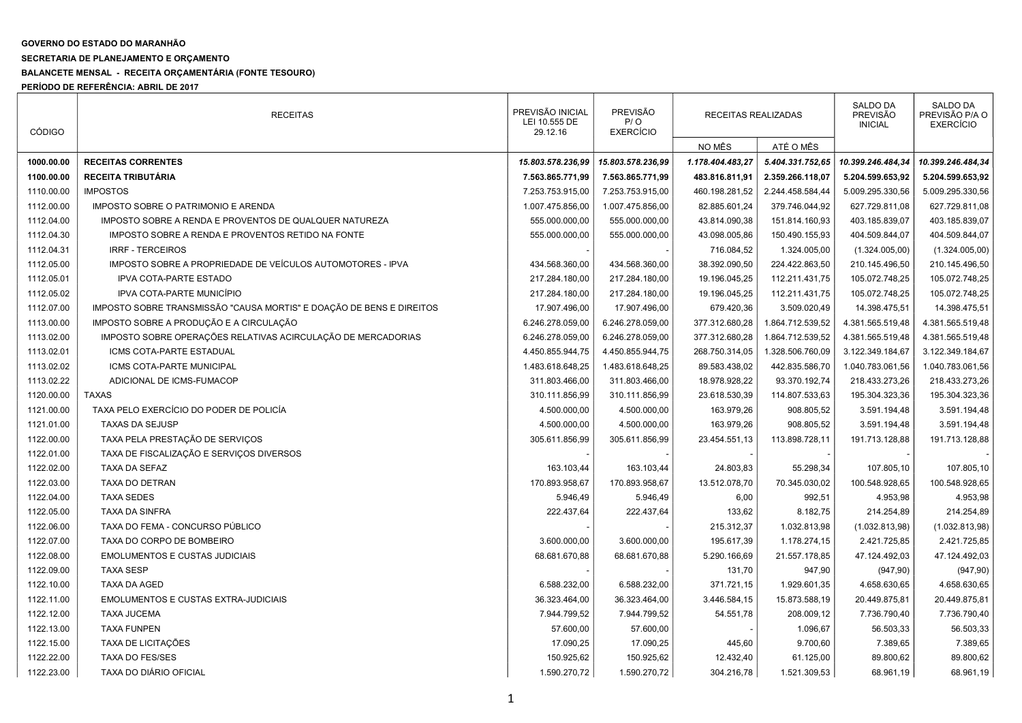## GOVERNO DO ESTADO DO MARANHÃO

## SECRETARIA DE PLANEJAMENTO E ORÇAMENTO

## BALANCETE MENSAL - RECEITA ORÇAMENTÁRIA (FONTE TESOURO)

PERÍODO DE REFERÊNCIA: ABRIL DE 2017

| <b>CÓDIGO</b> | <b>RECEITAS</b>                                                      | PREVISÃO INICIAL<br>LEI 10.555 DE<br>29.12.16 | <b>PREVISÃO</b><br>P/O<br><b>EXERCÍCIO</b> | RECEITAS REALIZADAS |                  | <b>SALDO DA</b><br>PREVISÃO<br><b>INICIAL</b> | SALDO DA<br>PREVISÃO P/A O<br><b>EXERCÍCIO</b> |
|---------------|----------------------------------------------------------------------|-----------------------------------------------|--------------------------------------------|---------------------|------------------|-----------------------------------------------|------------------------------------------------|
|               |                                                                      |                                               |                                            | NO MÊS              | ATÉ O MÊS        |                                               |                                                |
| 1000.00.00    | <b>RECEITAS CORRENTES</b>                                            | 15.803.578.236,99                             | 15.803.578.236,99                          | 1.178.404.483,27    | 5.404.331.752,65 | 10.399.246.484,34                             | 10.399.246.484,34                              |
| 1100.00.00    | RECEITA TRIBUTÁRIA                                                   | 7.563.865.771,99                              | 7.563.865.771,99                           | 483.816.811,91      | 2.359.266.118,07 | 5.204.599.653,92                              | 5.204.599.653,92                               |
| 1110.00.00    | <b>IMPOSTOS</b>                                                      | 7.253.753.915,00                              | 7.253.753.915,00                           | 460.198.281,52      | 2.244.458.584,44 | 5.009.295.330,56                              | 5.009.295.330,56                               |
| 1112.00.00    | IMPOSTO SOBRE O PATRIMONIO E ARENDA                                  | 1.007.475.856,00                              | 1.007.475.856,00                           | 82.885.601,24       | 379.746.044,92   | 627.729.811,08                                | 627.729.811,08                                 |
| 1112.04.00    | IMPOSTO SOBRE A RENDA E PROVENTOS DE QUALQUER NATUREZA               | 555.000.000,00                                | 555.000.000,00                             | 43.814.090,38       | 151.814.160,93   | 403.185.839,07                                | 403.185.839,07                                 |
| 1112.04.30    | IMPOSTO SOBRE A RENDA E PROVENTOS RETIDO NA FONTE                    | 555.000.000,00                                | 555.000.000,00                             | 43.098.005,86       | 150.490.155,93   | 404.509.844,07                                | 404.509.844,07                                 |
| 1112.04.31    | <b>IRRF - TERCEIROS</b>                                              |                                               |                                            | 716.084,52          | 1.324.005,00     | (1.324.005,00)                                | (1.324.005,00)                                 |
| 1112.05.00    | IMPOSTO SOBRE A PROPRIEDADE DE VEÍCULOS AUTOMOTORES - IPVA           | 434.568.360,00                                | 434.568.360,00                             | 38.392.090,50       | 224.422.863,50   | 210.145.496,50                                | 210.145.496,50                                 |
| 1112.05.01    | <b>IPVA COTA-PARTE ESTADO</b>                                        | 217.284.180,00                                | 217.284.180,00                             | 19.196.045,25       | 112.211.431,75   | 105.072.748,25                                | 105.072.748,25                                 |
| 1112.05.02    | IPVA COTA-PARTE MUNICÍPIO                                            | 217.284.180,00                                | 217.284.180,00                             | 19.196.045,25       | 112.211.431,75   | 105.072.748,25                                | 105.072.748,25                                 |
| 1112.07.00    | IMPOSTO SOBRE TRANSMISSÃO "CAUSA MORTIS" E DOAÇÃO DE BENS E DIREITOS | 17.907.496,00                                 | 17.907.496,00                              | 679.420,36          | 3.509.020,49     | 14.398.475,51                                 | 14.398.475,51                                  |
| 1113.00.00    | IMPOSTO SOBRE A PRODUÇÃO E A CIRCULAÇÃO                              | 6.246.278.059,00                              | 6.246.278.059,00                           | 377.312.680,28      | 1.864.712.539,52 | 4.381.565.519,48                              | 4.381.565.519,48                               |
| 1113.02.00    | IMPOSTO SOBRE OPERAÇÕES RELATIVAS ACIRCULAÇÃO DE MERCADORIAS         | 6.246.278.059,00                              | 6.246.278.059,00                           | 377.312.680,28      | 1.864.712.539,52 | 4.381.565.519,48                              | 4.381.565.519,48                               |
| 1113.02.01    | ICMS COTA-PARTE ESTADUAL                                             | 4.450.855.944,75                              | 4.450.855.944,75                           | 268.750.314,05      | 1.328.506.760,09 | 3.122.349.184,67                              | 3.122.349.184,67                               |
| 1113.02.02    | ICMS COTA-PARTE MUNICIPAL                                            | 1.483.618.648.25                              | 1.483.618.648,25                           | 89.583.438,02       | 442.835.586,70   | 1.040.783.061,56                              | 1.040.783.061,56                               |
| 1113.02.22    | ADICIONAL DE ICMS-FUMACOP                                            | 311.803.466,00                                | 311.803.466,00                             | 18.978.928,22       | 93.370.192,74    | 218.433.273,26                                | 218.433.273,26                                 |
| 1120.00.00    | <b>TAXAS</b>                                                         | 310.111.856,99                                | 310.111.856,99                             | 23.618.530,39       | 114.807.533,63   | 195.304.323,36                                | 195.304.323,36                                 |
| 1121.00.00    | TAXA PELO EXERCÍCIO DO PODER DE POLICÍA                              | 4.500.000,00                                  | 4.500.000,00                               | 163.979,26          | 908.805,52       | 3.591.194,48                                  | 3.591.194,48                                   |
| 1121.01.00    | <b>TAXAS DA SEJUSP</b>                                               | 4.500.000,00                                  | 4.500.000,00                               | 163.979,26          | 908.805,52       | 3.591.194,48                                  | 3.591.194,48                                   |
| 1122.00.00    | TAXA PELA PRESTAÇÃO DE SERVIÇOS                                      | 305.611.856,99                                | 305.611.856,99                             | 23.454.551,13       | 113.898.728,11   | 191.713.128,88                                | 191.713.128,88                                 |
| 1122.01.00    | TAXA DE FISCALIZAÇÃO E SERVIÇOS DIVERSOS                             |                                               |                                            |                     |                  |                                               |                                                |
| 1122.02.00    | TAXA DA SEFAZ                                                        | 163.103,44                                    | 163.103,44                                 | 24.803,83           | 55.298,34        | 107.805,10                                    | 107.805,10                                     |
| 1122.03.00    | TAXA DO DETRAN                                                       | 170.893.958,67                                | 170.893.958,67                             | 13.512.078,70       | 70.345.030,02    | 100.548.928,65                                | 100.548.928,65                                 |
| 1122.04.00    | <b>TAXA SEDES</b>                                                    | 5.946,49                                      | 5.946,49                                   | 6,00                | 992,51           | 4.953,98                                      | 4.953,98                                       |
| 1122.05.00    | <b>TAXA DA SINFRA</b>                                                | 222.437,64                                    | 222.437,64                                 | 133,62              | 8.182,75         | 214.254,89                                    | 214.254,89                                     |
| 1122.06.00    | TAXA DO FEMA - CONCURSO PÚBLICO                                      |                                               |                                            | 215.312,37          | 1.032.813,98     | (1.032.813,98)                                | (1.032.813,98)                                 |
| 1122.07.00    | TAXA DO CORPO DE BOMBEIRO                                            | 3.600.000,00                                  | 3.600.000,00                               | 195.617,39          | 1.178.274,15     | 2.421.725,85                                  | 2.421.725,85                                   |
| 1122.08.00    | <b>EMOLUMENTOS E CUSTAS JUDICIAIS</b>                                | 68.681.670,88                                 | 68.681.670,88                              | 5.290.166,69        | 21.557.178,85    | 47.124.492,03                                 | 47.124.492,03                                  |
| 1122.09.00    | <b>TAXA SESP</b>                                                     |                                               |                                            | 131,70              | 947,90           | (947, 90)                                     | (947, 90)                                      |
| 1122.10.00    | <b>TAXA DA AGED</b>                                                  | 6.588.232,00                                  | 6.588.232,00                               | 371.721,15          | 1.929.601,35     | 4.658.630,65                                  | 4.658.630,65                                   |
| 1122.11.00    | <b>EMOLUMENTOS E CUSTAS EXTRA-JUDICIAIS</b>                          | 36.323.464,00                                 | 36.323.464,00                              | 3.446.584,15        | 15.873.588,19    | 20.449.875,81                                 | 20.449.875,81                                  |
| 1122.12.00    | <b>TAXA JUCEMA</b>                                                   | 7.944.799,52                                  | 7.944.799,52                               | 54.551,78           | 208.009,12       | 7.736.790,40                                  | 7.736.790,40                                   |
| 1122.13.00    | <b>TAXA FUNPEN</b>                                                   | 57.600,00                                     | 57.600,00                                  |                     | 1.096,67         | 56.503,33                                     | 56.503,33                                      |
| 1122.15.00    | TAXA DE LICITAÇÕES                                                   | 17.090,25                                     | 17.090,25                                  | 445,60              | 9.700,60         | 7.389,65                                      | 7.389,65                                       |
| 1122.22.00    | <b>TAXA DO FES/SES</b>                                               | 150.925,62                                    | 150.925,62                                 | 12.432,40           | 61.125,00        | 89.800,62                                     | 89.800,62                                      |
| 1122.23.00    | TAXA DO DIÁRIO OFICIAL                                               | 1.590.270,72                                  | 1.590.270,72                               | 304.216,78          | 1.521.309,53     | 68.961,19                                     | 68.961,19                                      |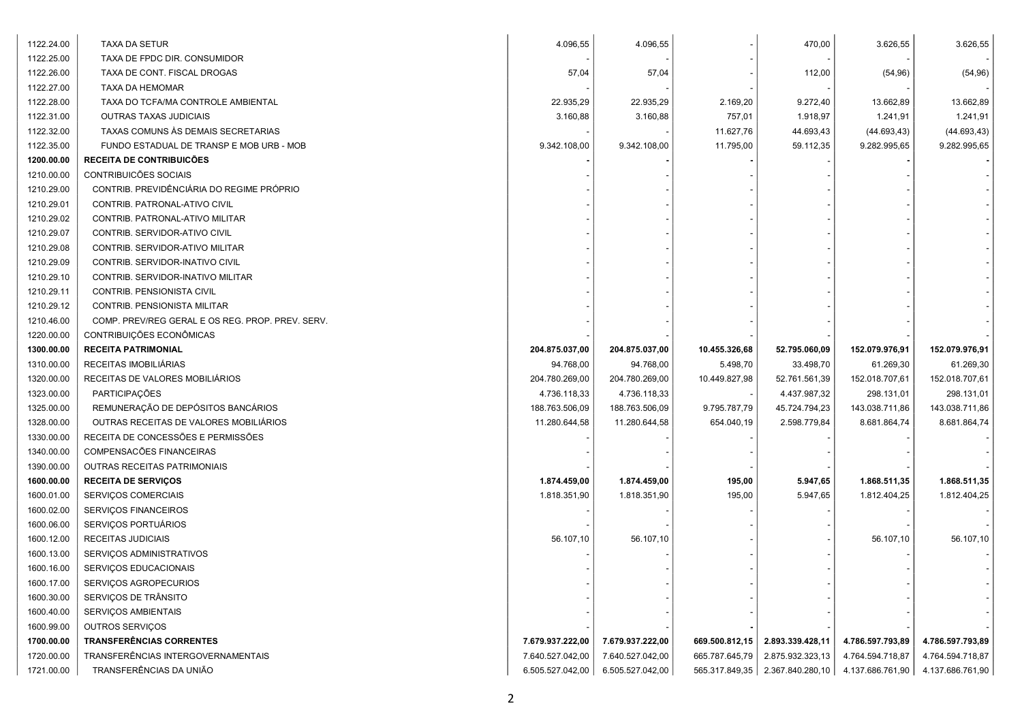| 1122.24.00 | TAXA DA SETUR                                    | 4.096,55         | 4.096,55         |                | 470,00           | 3.626,55         | 3.626,55         |
|------------|--------------------------------------------------|------------------|------------------|----------------|------------------|------------------|------------------|
| 1122.25.00 | TAXA DE FPDC DIR. CONSUMIDOR                     |                  |                  |                |                  |                  |                  |
| 1122.26.00 | TAXA DE CONT. FISCAL DROGAS                      | 57,04            | 57,04            |                | 112,00           | (54, 96)         | (54, 96)         |
| 1122.27.00 | TAXA DA HEMOMAR                                  |                  |                  |                |                  |                  |                  |
| 1122.28.00 | TAXA DO TCFA/MA CONTROLE AMBIENTAL               | 22.935,29        | 22.935,29        | 2.169,20       | 9.272,40         | 13.662,89        | 13.662,89        |
| 1122.31.00 | <b>OUTRAS TAXAS JUDICIAIS</b>                    | 3.160,88         | 3.160,88         | 757,01         | 1.918,97         | 1.241,91         | 1.241,91         |
| 1122.32.00 | TAXAS COMUNS ÀS DEMAIS SECRETARIAS               |                  |                  | 11.627,76      | 44.693,43        | (44.693, 43)     | (44.693, 43)     |
| 1122.35.00 | FUNDO ESTADUAL DE TRANSP E MOB URB - MOB         | 9.342.108,00     | 9.342.108,00     | 11.795,00      | 59.112,35        | 9.282.995,65     | 9.282.995,65     |
| 1200.00.00 | <b>RECEITA DE CONTRIBUICÕES</b>                  |                  |                  |                |                  |                  |                  |
| 1210.00.00 | CONTRIBUICÕES SOCIAIS                            |                  |                  |                |                  |                  |                  |
| 1210.29.00 | CONTRIB. PREVIDÊNCIÁRIA DO REGIME PRÓPRIO        |                  |                  |                |                  |                  |                  |
| 1210.29.01 | CONTRIB. PATRONAL-ATIVO CIVIL                    |                  |                  |                |                  |                  |                  |
| 1210.29.02 | CONTRIB. PATRONAL-ATIVO MILITAR                  |                  |                  |                |                  |                  |                  |
| 1210.29.07 | CONTRIB. SERVIDOR-ATIVO CIVIL                    |                  |                  |                |                  |                  |                  |
| 1210.29.08 | CONTRIB. SERVIDOR-ATIVO MILITAR                  |                  |                  |                |                  |                  |                  |
| 1210.29.09 | CONTRIB. SERVIDOR-INATIVO CIVIL                  |                  |                  |                |                  |                  |                  |
| 1210.29.10 | CONTRIB. SERVIDOR-INATIVO MILITAR                |                  |                  |                |                  |                  |                  |
| 1210.29.11 | CONTRIB. PENSIONISTA CIVIL                       |                  |                  |                |                  |                  |                  |
| 1210.29.12 | CONTRIB. PENSIONISTA MILITAR                     |                  |                  |                |                  |                  |                  |
| 1210.46.00 | COMP. PREV/REG GERAL E OS REG. PROP. PREV. SERV. |                  |                  |                |                  |                  |                  |
| 1220.00.00 | CONTRIBUIÇÕES ECONÔMICAS                         |                  |                  |                |                  |                  |                  |
| 1300.00.00 | <b>RECEITA PATRIMONIAL</b>                       | 204.875.037,00   | 204.875.037,00   | 10.455.326,68  | 52.795.060,09    | 152.079.976,91   | 152.079.976,91   |
| 1310.00.00 | RECEITAS IMOBILIÁRIAS                            | 94.768,00        | 94.768,00        | 5.498,70       | 33.498,70        | 61.269,30        | 61.269,30        |
| 1320.00.00 | RECEITAS DE VALORES MOBILIÁRIOS                  | 204.780.269,00   | 204.780.269,00   | 10.449.827,98  | 52.761.561,39    | 152.018.707,61   | 152.018.707,61   |
| 1323.00.00 | PARTICIPAÇÕES                                    | 4.736.118,33     | 4.736.118,33     |                | 4.437.987,32     | 298.131,01       | 298.131,01       |
| 1325.00.00 | REMUNERAÇÃO DE DEPÓSITOS BANCÁRIOS               | 188.763.506,09   | 188.763.506,09   | 9.795.787,79   | 45.724.794,23    | 143.038.711,86   | 143.038.711,86   |
| 1328.00.00 | OUTRAS RECEITAS DE VALORES MOBILIÁRIOS           | 11.280.644,58    | 11.280.644,58    | 654.040,19     | 2.598.779,84     | 8.681.864,74     | 8.681.864,74     |
| 1330.00.00 | RECEITA DE CONCESSÕES E PERMISSÕES               |                  |                  |                |                  |                  |                  |
| 1340.00.00 | COMPENSACÕES FINANCEIRAS                         |                  |                  |                |                  |                  |                  |
| 1390.00.00 | OUTRAS RECEITAS PATRIMONIAIS                     |                  |                  |                |                  |                  |                  |
| 1600.00.00 | <b>RECEITA DE SERVIÇOS</b>                       | 1.874.459,00     | 1.874.459,00     | 195,00         | 5.947,65         | 1.868.511,35     | 1.868.511,35     |
| 1600.01.00 | SERVIÇOS COMERCIAIS                              | 1.818.351,90     | 1.818.351,90     | 195,00         | 5.947,65         | 1.812.404,25     | 1.812.404,25     |
| 1600.02.00 | SERVIÇOS FINANCEIROS                             |                  |                  |                |                  |                  |                  |
| 1600.06.00 | SERVIÇOS PORTUÁRIOS                              |                  |                  |                |                  |                  |                  |
| 1600.12.00 | RECEITAS JUDICIAIS                               | 56.107,10        | 56.107,10        |                |                  | 56.107,10        | 56.107,10        |
| 1600.13.00 | SERVIÇOS ADMINISTRATIVOS                         |                  |                  |                |                  |                  |                  |
| 1600.16.00 | SERVIÇOS EDUCACIONAIS                            |                  |                  |                |                  |                  |                  |
| 1600.17.00 | SERVIÇOS AGROPECURIOS                            |                  |                  |                |                  |                  |                  |
| 1600.30.00 | SERVIÇOS DE TRÂNSITO                             |                  |                  |                |                  |                  |                  |
| 1600.40.00 | SERVIÇOS AMBIENTAIS                              |                  |                  |                |                  |                  |                  |
| 1600.99.00 | OUTROS SERVIÇOS                                  |                  |                  |                |                  |                  |                  |
| 1700.00.00 | <b>TRANSFERÊNCIAS CORRENTES</b>                  | 7.679.937.222,00 | 7.679.937.222,00 | 669.500.812,15 | 2.893.339.428,11 | 4.786.597.793,89 | 4.786.597.793,89 |
| 1720.00.00 | TRANSFERÊNCIAS INTERGOVERNAMENTAIS               | 7.640.527.042,00 | 7.640.527.042,00 | 665.787.645,79 | 2.875.932.323,13 | 4.764.594.718,87 | 4.764.594.718,87 |
| 1721.00.00 | TRANSFERÊNCIAS DA UNIÃO                          | 6.505.527.042,00 | 6.505.527.042,00 | 565.317.849,35 | 2.367.840.280,10 | 4.137.686.761,90 | 4.137.686.761,90 |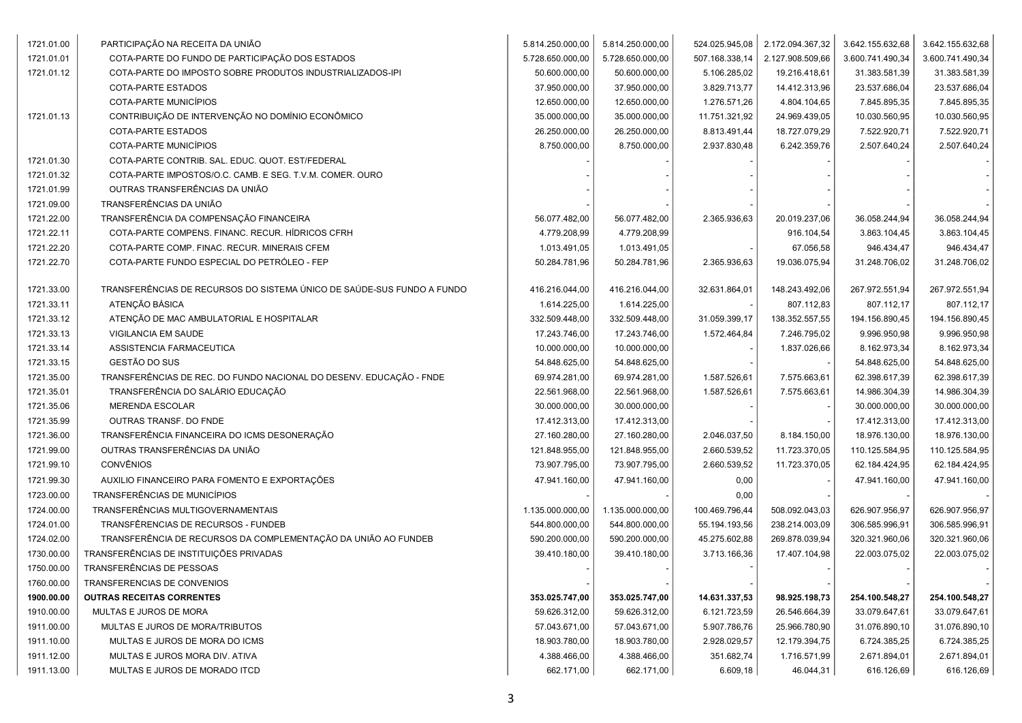| 1721.01.00 | PARTICIPAÇÃO NA RECEITA DA UNIÃO                                       | 5.814.250.000,00 | 5.814.250.000,00 | 524.025.945,08 | 2.172.094.367,32 | 3.642.155.632,68 | 3.642.155.632,68 |
|------------|------------------------------------------------------------------------|------------------|------------------|----------------|------------------|------------------|------------------|
| 1721.01.01 | COTA-PARTE DO FUNDO DE PARTICIPAÇÃO DOS ESTADOS                        | 5.728.650.000,00 | 5.728.650.000,00 | 507.168.338,14 | 2.127.908.509,66 | 3.600.741.490,34 | 3.600.741.490,34 |
| 1721.01.12 | COTA-PARTE DO IMPOSTO SOBRE PRODUTOS INDUSTRIALIZADOS-IPI              | 50.600.000,00    | 50.600.000,00    | 5.106.285,02   | 19.216.418,61    | 31.383.581,39    | 31.383.581,39    |
|            | COTA-PARTE ESTADOS                                                     | 37.950.000,00    | 37.950.000,00    | 3.829.713,77   | 14.412.313,96    | 23.537.686,04    | 23.537.686,04    |
|            | COTA-PARTE MUNICÍPIOS                                                  | 12.650.000,00    | 12.650.000,00    | 1.276.571,26   | 4.804.104,65     | 7.845.895,35     | 7.845.895,35     |
| 1721.01.13 | CONTRIBUIÇÃO DE INTERVENÇÃO NO DOMÍNIO ECONÔMICO                       | 35.000.000,00    | 35.000.000,00    | 11.751.321,92  | 24.969.439,05    | 10.030.560,95    | 10.030.560,95    |
|            | COTA-PARTE ESTADOS                                                     | 26.250.000,00    | 26.250.000,00    | 8.813.491,44   | 18.727.079,29    | 7.522.920,71     | 7.522.920,71     |
|            | COTA-PARTE MUNICÍPIOS                                                  | 8.750.000,00     | 8.750.000,00     | 2.937.830,48   | 6.242.359,76     | 2.507.640,24     | 2.507.640,24     |
| 1721.01.30 | COTA-PARTE CONTRIB. SAL. EDUC. QUOT. EST/FEDERAL                       |                  |                  |                |                  |                  |                  |
| 1721.01.32 | COTA-PARTE IMPOSTOS/O.C. CAMB. E SEG. T.V.M. COMER. OURO               |                  |                  |                |                  |                  |                  |
| 1721.01.99 | OUTRAS TRANSFERÊNCIAS DA UNIÃO                                         |                  |                  |                |                  |                  |                  |
| 1721.09.00 | TRANSFERÊNCIAS DA UNIÃO                                                |                  |                  |                |                  |                  |                  |
| 1721.22.00 | TRANSFERÊNCIA DA COMPENSAÇÃO FINANCEIRA                                | 56.077.482,00    | 56.077.482,00    | 2.365.936,63   | 20.019.237,06    | 36.058.244,94    | 36.058.244,94    |
| 1721.22.11 | COTA-PARTE COMPENS. FINANC. RECUR. HÍDRICOS CFRH                       | 4.779.208,99     | 4.779.208,99     |                | 916.104,54       | 3.863.104,45     | 3.863.104,45     |
| 1721.22.20 | COTA-PARTE COMP. FINAC. RECUR. MINERAIS CFEM                           | 1.013.491,05     | 1.013.491,05     |                | 67.056,58        | 946.434,47       | 946.434,47       |
| 1721.22.70 | COTA-PARTE FUNDO ESPECIAL DO PETRÓLEO - FEP                            | 50.284.781,96    | 50.284.781,96    | 2.365.936,63   | 19.036.075,94    | 31.248.706,02    | 31.248.706,02    |
| 1721.33.00 | TRANSFERÊNCIAS DE RECURSOS DO SISTEMA ÚNICO DE SAÚDE-SUS FUNDO A FUNDO | 416.216.044,00   | 416.216.044,00   | 32.631.864,01  | 148.243.492,06   | 267.972.551,94   | 267.972.551,94   |
| 1721.33.11 | ATENÇÃO BÁSICA                                                         | 1.614.225,00     | 1.614.225,00     |                | 807.112,83       | 807.112,17       | 807.112,17       |
| 1721.33.12 | ATENÇÃO DE MAC AMBULATORIAL E HOSPITALAR                               | 332.509.448,00   | 332.509.448,00   | 31.059.399,17  | 138.352.557,55   | 194.156.890,45   | 194.156.890,45   |
| 1721.33.13 | VIGILANCIA EM SAUDE                                                    | 17.243.746,00    | 17.243.746,00    | 1.572.464,84   | 7.246.795,02     | 9.996.950,98     | 9.996.950,98     |
| 1721.33.14 | ASSISTENCIA FARMACEUTICA                                               | 10.000.000,00    | 10.000.000,00    |                | 1.837.026,66     | 8.162.973,34     | 8.162.973,34     |
| 1721.33.15 | GESTÃO DO SUS                                                          | 54.848.625,00    | 54.848.625,00    |                |                  | 54.848.625,00    | 54.848.625,00    |
| 1721.35.00 | TRANSFERÊNCIAS DE REC. DO FUNDO NACIONAL DO DESENV. EDUCAÇÃO - FNDE    | 69.974.281,00    | 69.974.281,00    | 1.587.526,61   | 7.575.663,61     | 62.398.617,39    | 62.398.617,39    |
| 1721.35.01 | TRANSFERÊNCIA DO SALÁRIO EDUCAÇÃO                                      | 22.561.968,00    | 22.561.968,00    | 1.587.526,61   | 7.575.663,61     | 14.986.304,39    | 14.986.304,39    |
| 1721.35.06 | MERENDA ESCOLAR                                                        | 30.000.000,00    | 30.000.000,00    |                |                  | 30.000.000,00    | 30.000.000,00    |
| 1721.35.99 | OUTRAS TRANSF. DO FNDE                                                 | 17.412.313,00    | 17.412.313,00    |                |                  | 17.412.313,00    | 17.412.313,00    |
| 1721.36.00 | TRANSFERÊNCIA FINANCEIRA DO ICMS DESONERAÇÃO                           | 27.160.280,00    | 27.160.280,00    | 2.046.037,50   | 8.184.150,00     | 18.976.130,00    | 18.976.130,00    |
| 1721.99.00 | OUTRAS TRANSFERÊNCIAS DA UNIÃO                                         | 121.848.955,00   | 121.848.955,00   | 2.660.539,52   | 11.723.370,05    | 110.125.584,95   | 110.125.584,95   |
| 1721.99.10 | <b>CONVÊNIOS</b>                                                       | 73.907.795,00    | 73.907.795,00    | 2.660.539,52   | 11.723.370,05    | 62.184.424,95    | 62.184.424,95    |
| 1721.99.30 | AUXILIO FINANCEIRO PARA FOMENTO E EXPORTAÇÕES                          | 47.941.160,00    | 47.941.160,00    | 0,00           |                  | 47.941.160,00    | 47.941.160,00    |
| 1723.00.00 | TRANSFERÊNCIAS DE MUNICÍPIOS                                           |                  |                  | 0,00           |                  |                  |                  |
| 1724.00.00 | TRANSFERÊNCIAS MULTIGOVERNAMENTAIS                                     | 1.135.000.000,00 | 1.135.000.000,00 | 100.469.796,44 | 508.092.043,03   | 626.907.956,97   | 626.907.956,97   |
| 1724.01.00 | TRANSFÊRENCIAS DE RECURSOS - FUNDEB                                    | 544.800.000,00   | 544.800.000,00   | 55.194.193,56  | 238.214.003,09   | 306.585.996,91   | 306.585.996,91   |
| 1724.02.00 | TRANSFERÊNCIA DE RECURSOS DA COMPLEMENTAÇÃO DA UNIÃO AO FUNDEB         | 590.200.000,00   | 590.200.000,00   | 45.275.602,88  | 269.878.039,94   | 320.321.960,06   | 320.321.960,06   |
| 1730.00.00 | TRANSFERÊNCIAS DE INSTITUIÇÕES PRIVADAS                                | 39.410.180,00    | 39.410.180,00    | 3.713.166,36   | 17.407.104,98    | 22.003.075,02    | 22.003.075,02    |
| 1750.00.00 | TRANSFERÊNCIAS DE PESSOAS                                              |                  |                  |                |                  |                  |                  |
| 1760.00.00 | TRANSFERENCIAS DE CONVENIOS                                            |                  |                  |                |                  |                  |                  |
| 1900.00.00 | <b>OUTRAS RECEITAS CORRENTES</b>                                       | 353.025.747,00   | 353.025.747,00   | 14.631.337,53  | 98.925.198,73    | 254.100.548,27   | 254.100.548,27   |
| 1910.00.00 | MULTAS E JUROS DE MORA                                                 | 59.626.312,00    | 59.626.312,00    | 6.121.723,59   | 26.546.664,39    | 33.079.647,61    | 33.079.647,61    |
| 1911.00.00 | MULTAS E JUROS DE MORA/TRIBUTOS                                        | 57.043.671,00    | 57.043.671,00    | 5.907.786,76   | 25.966.780,90    | 31.076.890,10    | 31.076.890,10    |
| 1911.10.00 | MULTAS E JUROS DE MORA DO ICMS                                         | 18.903.780,00    | 18.903.780,00    | 2.928.029,57   | 12.179.394,75    | 6.724.385,25     | 6.724.385,25     |
| 1911.12.00 | MULTAS E JUROS MORA DIV. ATIVA                                         | 4.388.466,00     | 4.388.466,00     | 351.682,74     | 1.716.571,99     | 2.671.894,01     | 2.671.894,01     |
| 1911.13.00 | MULTAS E JUROS DE MORADO ITCD                                          | 662.171,00       | 662.171,00       | 6.609,18       | 46.044,31        | 616.126,69       | 616.126,69       |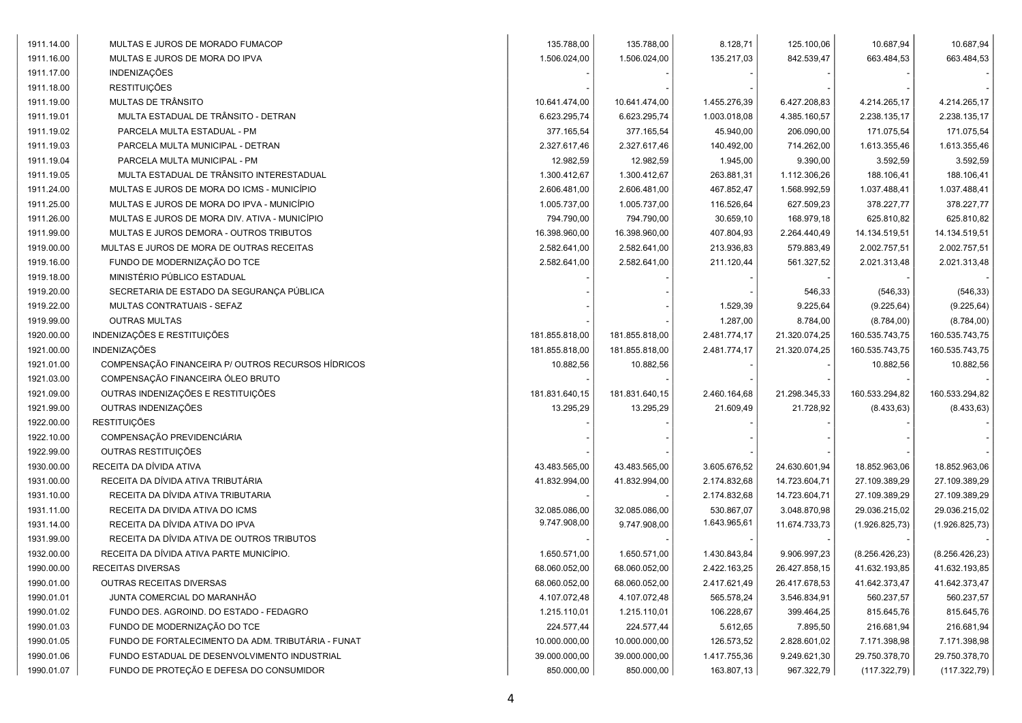| 1911.14.00 | MULTAS E JUROS DE MORADO FUMACOP                   | 135.788,00     | 135.788,00     | 8.128,71     | 125.100,06    | 10.687,94       | 10.687,94       |
|------------|----------------------------------------------------|----------------|----------------|--------------|---------------|-----------------|-----------------|
| 1911.16.00 | MULTAS E JUROS DE MORA DO IPVA                     | 1.506.024,00   | 1.506.024,00   | 135.217,03   | 842.539,47    | 663.484,53      | 663.484,53      |
| 1911.17.00 | INDENIZAÇÕES                                       |                |                |              |               |                 |                 |
| 1911.18.00 | <b>RESTITUIÇÕES</b>                                |                |                |              |               |                 |                 |
| 1911.19.00 | MULTAS DE TRÂNSITO                                 | 10.641.474,00  | 10.641.474,00  | 1.455.276,39 | 6.427.208,83  | 4.214.265,17    | 4.214.265,17    |
| 1911.19.01 | MULTA ESTADUAL DE TRÂNSITO - DETRAN                | 6.623.295,74   | 6.623.295,74   | 1.003.018,08 | 4.385.160,57  | 2.238.135,17    | 2.238.135,17    |
| 1911.19.02 | PARCELA MULTA ESTADUAL - PM                        | 377.165,54     | 377.165,54     | 45.940,00    | 206.090,00    | 171.075,54      | 171.075,54      |
| 1911.19.03 | PARCELA MULTA MUNICIPAL - DETRAN                   | 2.327.617,46   | 2.327.617,46   | 140.492,00   | 714.262,00    | 1.613.355,46    | 1.613.355,46    |
| 1911.19.04 | PARCELA MULTA MUNICIPAL - PM                       | 12.982,59      | 12.982,59      | 1.945,00     | 9.390,00      | 3.592,59        | 3.592,59        |
| 1911.19.05 | MULTA ESTADUAL DE TRÂNSITO INTERESTADUAL           | 1.300.412,67   | 1.300.412,67   | 263.881,31   | 1.112.306,26  | 188.106,41      | 188.106,41      |
| 1911.24.00 | MULTAS E JUROS DE MORA DO ICMS - MUNICÍPIO         | 2.606.481,00   | 2.606.481,00   | 467.852,47   | 1.568.992,59  | 1.037.488,41    | 1.037.488,41    |
| 1911.25.00 | MULTAS E JUROS DE MORA DO IPVA - MUNICÍPIO         | 1.005.737,00   | 1.005.737,00   | 116.526,64   | 627.509,23    | 378.227,77      | 378.227,77      |
| 1911.26.00 | MULTAS E JUROS DE MORA DIV. ATIVA - MUNICÍPIO      | 794.790,00     | 794.790,00     | 30.659,10    | 168.979,18    | 625.810,82      | 625.810,82      |
| 1911.99.00 | MULTAS E JUROS DEMORA - OUTROS TRIBUTOS            | 16.398.960,00  | 16.398.960,00  | 407.804,93   | 2.264.440,49  | 14.134.519,51   | 14.134.519,51   |
| 1919.00.00 | MULTAS E JUROS DE MORA DE OUTRAS RECEITAS          | 2.582.641,00   | 2.582.641,00   | 213.936,83   | 579.883,49    | 2.002.757,51    | 2.002.757,51    |
| 1919.16.00 | FUNDO DE MODERNIZAÇÃO DO TCE                       | 2.582.641,00   | 2.582.641,00   | 211.120,44   | 561.327,52    | 2.021.313,48    | 2.021.313,48    |
| 1919.18.00 | MINISTÉRIO PÚBLICO ESTADUAL                        |                |                |              |               |                 |                 |
| 1919.20.00 | SECRETARIA DE ESTADO DA SEGURANÇA PÚBLICA          |                |                |              | 546,33        | (546, 33)       | (546, 33)       |
| 1919.22.00 | MULTAS CONTRATUAIS - SEFAZ                         |                |                | 1.529,39     | 9.225,64      | (9.225, 64)     | (9.225, 64)     |
| 1919.99.00 | <b>OUTRAS MULTAS</b>                               |                |                | 1.287,00     | 8.784,00      | (8.784, 00)     | (8.784, 00)     |
| 1920.00.00 | INDENIZAÇÕES E RESTITUIÇÕES                        | 181.855.818,00 | 181.855.818,00 | 2.481.774,17 | 21.320.074,25 | 160.535.743,75  | 160.535.743,75  |
| 1921.00.00 | <b>INDENIZAÇÕES</b>                                | 181.855.818,00 | 181.855.818,00 | 2.481.774,17 | 21.320.074,25 | 160.535.743,75  | 160.535.743,75  |
| 1921.01.00 | COMPENSAÇÃO FINANCEIRA P/ OUTROS RECURSOS HÍDRICOS | 10.882,56      | 10.882,56      |              |               | 10.882,56       | 10.882,56       |
| 1921.03.00 | COMPENSAÇÃO FINANCEIRA ÓLEO BRUTO                  |                |                |              |               |                 |                 |
| 1921.09.00 | OUTRAS INDENIZAÇÕES E RESTITUIÇÕES                 | 181.831.640,15 | 181.831.640,15 | 2.460.164,68 | 21.298.345,33 | 160.533.294,82  | 160.533.294,82  |
| 1921.99.00 | OUTRAS INDENIZAÇÕES                                | 13.295,29      | 13.295,29      | 21.609,49    | 21.728,92     | (8.433, 63)     | (8.433, 63)     |
| 1922.00.00 | <b>RESTITUIÇÕES</b>                                |                |                |              |               |                 |                 |
| 1922.10.00 | COMPENSAÇÃO PREVIDENCIÁRIA                         |                |                |              |               |                 |                 |
| 1922.99.00 | OUTRAS RESTITUIÇÕES                                |                |                |              |               |                 |                 |
| 1930.00.00 | RECEITA DA DÍVIDA ATIVA                            | 43.483.565,00  | 43.483.565,00  | 3.605.676,52 | 24.630.601,94 | 18.852.963,06   | 18.852.963,06   |
| 1931.00.00 | RECEITA DA DÍVIDA ATIVA TRIBUTÁRIA                 | 41.832.994,00  | 41.832.994,00  | 2.174.832,68 | 14.723.604,71 | 27.109.389,29   | 27.109.389,29   |
| 1931.10.00 | RECEITA DA DÍVIDA ATIVA TRIBUTARIA                 |                |                | 2.174.832,68 | 14.723.604,71 | 27.109.389,29   | 27.109.389,29   |
| 1931.11.00 | RECEITA DA DIVIDA ATIVA DO ICMS                    | 32.085.086,00  | 32.085.086,00  | 530.867,07   | 3.048.870,98  | 29.036.215,02   | 29.036.215,02   |
| 1931.14.00 | RECEITA DA DÍVIDA ATIVA DO IPVA                    | 9.747.908,00   | 9.747.908,00   | 1.643.965,61 | 11.674.733,73 | (1.926.825,73)  | (1.926.825,73)  |
| 1931.99.00 | RECEITA DA DÍVIDA ATIVA DE OUTROS TRIBUTOS         |                |                |              |               |                 |                 |
| 1932.00.00 | RECEITA DA DÍVIDA ATIVA PARTE MUNICÍPIO.           | 1.650.571,00   | 1.650.571,00   | 1.430.843,84 | 9.906.997,23  | (8.256.426, 23) | (8.256.426, 23) |
| 1990.00.00 | RECEITAS DIVERSAS                                  | 68.060.052,00  | 68.060.052,00  | 2.422.163,25 | 26.427.858,15 | 41.632.193,85   | 41.632.193,85   |
| 1990.01.00 | <b>OUTRAS RECEITAS DIVERSAS</b>                    | 68.060.052,00  | 68.060.052,00  | 2.417.621,49 | 26.417.678,53 | 41.642.373,47   | 41.642.373,47   |
| 1990.01.01 | JUNTA COMERCIAL DO MARANHÃO                        | 4.107.072,48   | 4.107.072,48   | 565.578,24   | 3.546.834,91  | 560.237,57      | 560.237,57      |
| 1990.01.02 | FUNDO DES. AGROIND. DO ESTADO - FEDAGRO            | 1.215.110,01   | 1.215.110,01   | 106.228,67   | 399.464,25    | 815.645,76      | 815.645,76      |
| 1990.01.03 | FUNDO DE MODERNIZAÇÃO DO TCE                       | 224.577,44     | 224.577,44     | 5.612,65     | 7.895,50      | 216.681,94      | 216.681,94      |
| 1990.01.05 | FUNDO DE FORTALECIMENTO DA ADM. TRIBUTÁRIA - FUNAT | 10.000.000,00  | 10.000.000,00  | 126.573,52   | 2.828.601,02  | 7.171.398,98    | 7.171.398,98    |
| 1990.01.06 | FUNDO ESTADUAL DE DESENVOLVIMENTO INDUSTRIAL       | 39.000.000,00  | 39.000.000,00  | 1.417.755,36 | 9.249.621,30  | 29.750.378,70   | 29.750.378,70   |
| 1990.01.07 | FUNDO DE PROTEÇÃO E DEFESA DO CONSUMIDOR           | 850.000,00     | 850.000,00     | 163.807,13   | 967.322,79    | (117.322,79)    | (117.322,79)    |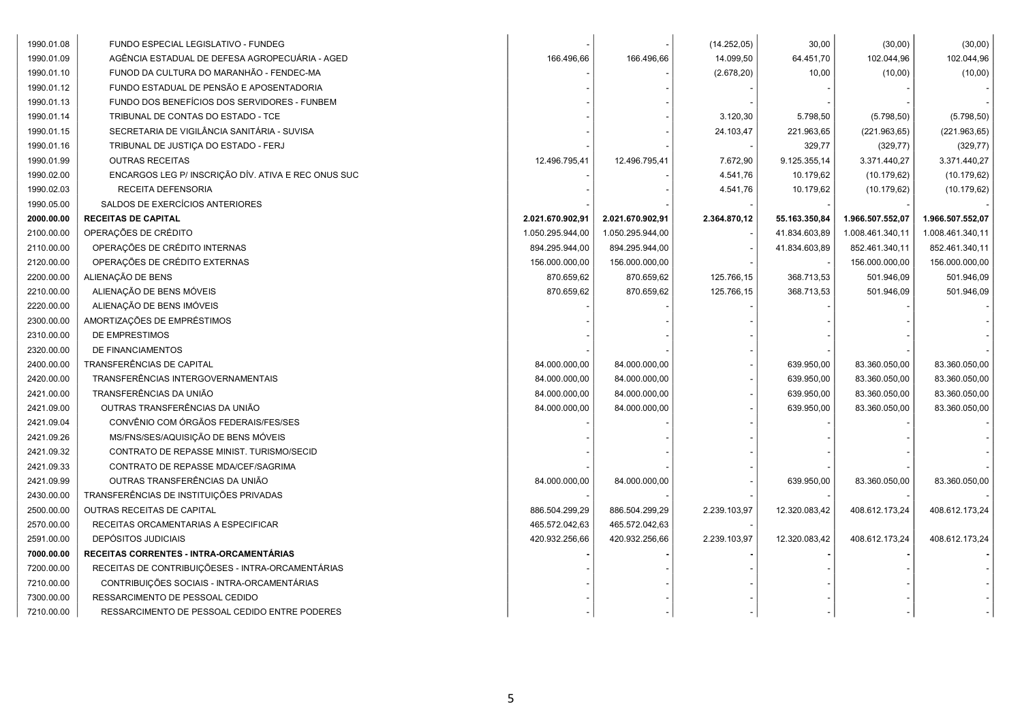| 1990.01.08 | FUNDO ESPECIAL LEGISLATIVO - FUNDEG                 |                  |                  | (14.252, 05) | 30,00         | (30,00)          | (30,00)          |
|------------|-----------------------------------------------------|------------------|------------------|--------------|---------------|------------------|------------------|
| 1990.01.09 | AGÊNCIA ESTADUAL DE DEFESA AGROPECUARIA - AGED      | 166.496,66       | 166.496,66       | 14.099,50    | 64.451,70     | 102.044,96       | 102.044,96       |
| 1990.01.10 | FUNOD DA CULTURA DO MARANHÃO - FENDEC-MA            |                  |                  | (2.678, 20)  | 10,00         | (10,00)          | (10,00)          |
| 1990.01.12 | FUNDO ESTADUAL DE PENSÃO E APOSENTADORIA            |                  |                  |              |               |                  |                  |
| 1990.01.13 | FUNDO DOS BENEFÍCIOS DOS SERVIDORES - FUNBEM        |                  |                  |              |               |                  |                  |
| 1990.01.14 | TRIBUNAL DE CONTAS DO ESTADO - TCE                  |                  |                  | 3.120,30     | 5.798,50      | (5.798, 50)      | (5.798, 50)      |
| 1990.01.15 | SECRETARIA DE VIGILÂNCIA SANITÁRIA - SUVISA         |                  |                  | 24.103,47    | 221.963,65    | (221.963, 65)    | (221.963, 65)    |
| 1990.01.16 | TRIBUNAL DE JUSTIÇA DO ESTADO - FERJ                |                  |                  |              | 329,77        | (329, 77)        | (329, 77)        |
| 1990.01.99 | <b>OUTRAS RECEITAS</b>                              | 12.496.795,41    | 12.496.795,41    | 7.672,90     | 9.125.355,14  | 3.371.440,27     | 3.371.440,27     |
| 1990.02.00 | ENCARGOS LEG P/ INSCRIÇÃO DÍV. ATIVA E REC ONUS SUC |                  |                  | 4.541,76     | 10.179,62     | (10.179, 62)     | (10.179, 62)     |
| 1990.02.03 | RECEITA DEFENSORIA                                  |                  |                  | 4.541,76     | 10.179,62     | (10.179, 62)     | (10.179, 62)     |
| 1990.05.00 | SALDOS DE EXERCÍCIOS ANTERIORES                     |                  |                  |              |               |                  |                  |
| 2000.00.00 | <b>RECEITAS DE CAPITAL</b>                          | 2.021.670.902,91 | 2.021.670.902,91 | 2.364.870,12 | 55.163.350,84 | 1.966.507.552,07 | 1.966.507.552,07 |
| 2100.00.00 | OPERAÇÕES DE CRÉDITO                                | 1.050.295.944,00 | 1.050.295.944,00 |              | 41.834.603,89 | 1.008.461.340,11 | 1.008.461.340,11 |
| 2110.00.00 | OPERAÇÕES DE CRÉDITO INTERNAS                       | 894.295.944,00   | 894.295.944,00   |              | 41.834.603,89 | 852.461.340,11   | 852.461.340,11   |
| 2120.00.00 | OPERAÇÕES DE CRÉDITO EXTERNAS                       | 156.000.000,00   | 156.000.000,00   |              |               | 156.000.000,00   | 156.000.000,00   |
| 2200.00.00 | ALIENAÇÃO DE BENS                                   | 870.659,62       | 870.659,62       | 125.766,15   | 368.713,53    | 501.946,09       | 501.946,09       |
| 2210.00.00 | ALIENAÇÃO DE BENS MÓVEIS                            | 870.659,62       | 870.659,62       | 125.766,15   | 368.713,53    | 501.946,09       | 501.946,09       |
| 2220.00.00 | ALIENAÇÃO DE BENS IMÓVEIS                           |                  |                  |              |               |                  |                  |
| 2300.00.00 | AMORTIZAÇÕES DE EMPRÉSTIMOS                         |                  |                  |              |               |                  |                  |
| 2310.00.00 | DE EMPRESTIMOS                                      |                  |                  |              |               |                  |                  |
| 2320.00.00 | DE FINANCIAMENTOS                                   |                  |                  |              |               |                  |                  |
| 2400.00.00 | TRANSFERÊNCIAS DE CAPITAL                           | 84.000.000,00    | 84.000.000,00    |              | 639.950,00    | 83.360.050,00    | 83.360.050,00    |
| 2420.00.00 | TRANSFERÊNCIAS INTERGOVERNAMENTAIS                  | 84.000.000,00    | 84.000.000,00    |              | 639.950,00    | 83.360.050,00    | 83.360.050,00    |
| 2421.00.00 | TRANSFERÊNCIAS DA UNIÃO                             | 84.000.000,00    | 84.000.000,00    |              | 639.950,00    | 83.360.050,00    | 83.360.050,00    |
| 2421.09.00 | OUTRAS TRANSFERÊNCIAS DA UNIÃO                      | 84.000.000,00    | 84.000.000,00    |              | 639.950,00    | 83.360.050,00    | 83.360.050,00    |
| 2421.09.04 | CONVÊNIO COM ÓRGÃOS FEDERAIS/FES/SES                |                  |                  |              |               |                  |                  |
| 2421.09.26 | MS/FNS/SES/AQUISIÇÃO DE BENS MÓVEIS                 |                  |                  |              |               |                  |                  |
| 2421.09.32 | CONTRATO DE REPASSE MINIST. TURISMO/SECID           |                  |                  |              |               |                  |                  |
| 2421.09.33 | CONTRATO DE REPASSE MDA/CEF/SAGRIMA                 |                  |                  |              |               |                  |                  |
| 2421.09.99 | OUTRAS TRANSFERÊNCIAS DA UNIÃO                      | 84.000.000,00    | 84.000.000,00    |              | 639.950,00    | 83.360.050,00    | 83.360.050,00    |
| 2430.00.00 | TRANSFERÊNCIAS DE INSTITUIÇÕES PRIVADAS             |                  |                  |              |               |                  |                  |
| 2500.00.00 | OUTRAS RECEITAS DE CAPITAL                          | 886.504.299,29   | 886.504.299,29   | 2.239.103,97 | 12.320.083,42 | 408.612.173,24   | 408.612.173,24   |
| 2570.00.00 | RECEITAS ORCAMENTARIAS A ESPECIFICAR                | 465.572.042,63   | 465.572.042,63   |              |               |                  |                  |
| 2591.00.00 | <b>DEPÓSITOS JUDICIAIS</b>                          | 420.932.256,66   | 420.932.256,66   | 2.239.103,97 | 12.320.083,42 | 408.612.173,24   | 408.612.173,24   |
| 7000.00.00 | RECEITAS CORRENTES - INTRA-ORCAMENTÁRIAS            |                  |                  |              |               |                  |                  |
| 7200.00.00 | RECEITAS DE CONTRIBUIÇÕESES - INTRA-ORCAMENTÁRIAS   |                  |                  |              |               |                  |                  |
| 7210.00.00 | CONTRIBUIÇÕES SOCIAIS - INTRA-ORCAMENTÁRIAS         |                  |                  |              |               |                  |                  |
| 7300.00.00 | RESSARCIMENTO DE PESSOAL CEDIDO                     |                  |                  |              |               |                  |                  |
| 7210.00.00 | RESSARCIMENTO DE PESSOAL CEDIDO ENTRE PODERES       |                  |                  |              |               |                  |                  |